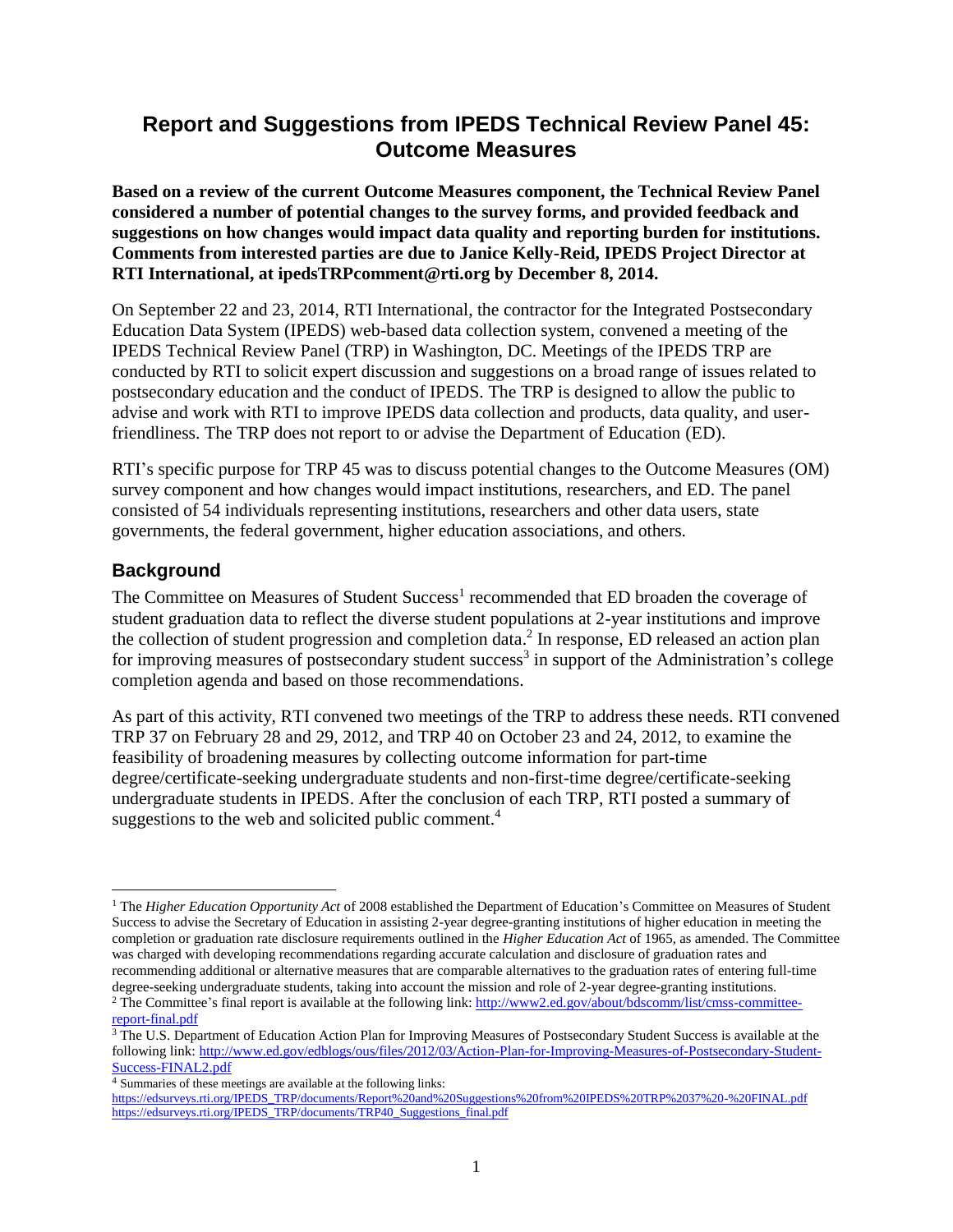# **Report and Suggestions from IPEDS Technical Review Panel 45: Outcome Measures**

**Based on a review of the current Outcome Measures component, the Technical Review Panel considered a number of potential changes to the survey forms, and provided feedback and suggestions on how changes would impact data quality and reporting burden for institutions. Comments from interested parties are due to Janice Kelly-Reid, IPEDS Project Director at RTI International, at ipedsTRPcomment@rti.org by December 8, 2014.**

On September 22 and 23, 2014, RTI International, the contractor for the Integrated Postsecondary Education Data System (IPEDS) web-based data collection system, convened a meeting of the IPEDS Technical Review Panel (TRP) in Washington, DC. Meetings of the IPEDS TRP are conducted by RTI to solicit expert discussion and suggestions on a broad range of issues related to postsecondary education and the conduct of IPEDS. The TRP is designed to allow the public to advise and work with RTI to improve IPEDS data collection and products, data quality, and userfriendliness. The TRP does not report to or advise the Department of Education (ED).

RTI's specific purpose for TRP 45 was to discuss potential changes to the Outcome Measures (OM) survey component and how changes would impact institutions, researchers, and ED. The panel consisted of 54 individuals representing institutions, researchers and other data users, state governments, the federal government, higher education associations, and others.

### **Background**

The Committee on Measures of Student Success<sup>1</sup> recommended that ED broaden the coverage of student graduation data to reflect the diverse student populations at 2-year institutions and improve the collection of student progression and completion data. 2 In response, ED released an action plan for improving measures of postsecondary student success<sup>3</sup> in support of the Administration's college completion agenda and based on those recommendations.

As part of this activity, RTI convened two meetings of the TRP to address these needs. RTI convened TRP 37 on February 28 and 29, 2012, and TRP 40 on October 23 and 24, 2012, to examine the feasibility of broadening measures by collecting outcome information for part-time degree/certificate-seeking undergraduate students and non-first-time degree/certificate-seeking undergraduate students in IPEDS. After the conclusion of each TRP, RTI posted a summary of suggestions to the web and solicited public comment.<sup>4</sup>

l

<sup>&</sup>lt;sup>1</sup> The *Higher Education Opportunity Act* of 2008 established the Department of Education's Committee on Measures of Student Success to advise the Secretary of Education in assisting 2-year degree-granting institutions of higher education in meeting the completion or graduation rate disclosure requirements outlined in the *Higher Education Act* of 1965, as amended. The Committee was charged with developing recommendations regarding accurate calculation and disclosure of graduation rates and recommending additional or alternative measures that are comparable alternatives to the graduation rates of entering full-time degree-seeking undergraduate students, taking into account the mission and role of 2-year degree-granting institutions. <sup>2</sup> The Committee's final report is available at the following link[: http://www2.ed.gov/about/bdscomm/list/cmss-committee-](http://www2.ed.gov/about/bdscomm/list/cmss-committee-report-final.pdf)

[report-final.pdf](http://www2.ed.gov/about/bdscomm/list/cmss-committee-report-final.pdf)

<sup>&</sup>lt;sup>3</sup> The U.S. Department of Education Action Plan for Improving Measures of Postsecondary Student Success is available at the following link: [http://www.ed.gov/edblogs/ous/files/2012/03/Action-Plan-for-Improving-Measures-of-Postsecondary-Student-](http://www.ed.gov/edblogs/ous/files/2012/03/Action-Plan-for-Improving-Measures-of-Postsecondary-Student-Success-FINAL2.pdf)[Success-FINAL2.pdf](http://www.ed.gov/edblogs/ous/files/2012/03/Action-Plan-for-Improving-Measures-of-Postsecondary-Student-Success-FINAL2.pdf)

<sup>4</sup> Summaries of these meetings are available at the following links:

[https://edsurveys.rti.org/IPEDS\\_TRP/documents/Report%20and%20Suggestions%20from%20IPEDS%20TRP%2037%20-%20FINAL.pdf](https://edsurveys.rti.org/IPEDS_TRP/documents/Report%20and%20Suggestions%20from%20IPEDS%20TRP%2037%20-%20FINAL.pdf) [https://edsurveys.rti.org/IPEDS\\_TRP/documents/TRP40\\_Suggestions\\_final.pdf](https://edsurveys.rti.org/IPEDS_TRP/documents/TRP40_Suggestions_final.pdf)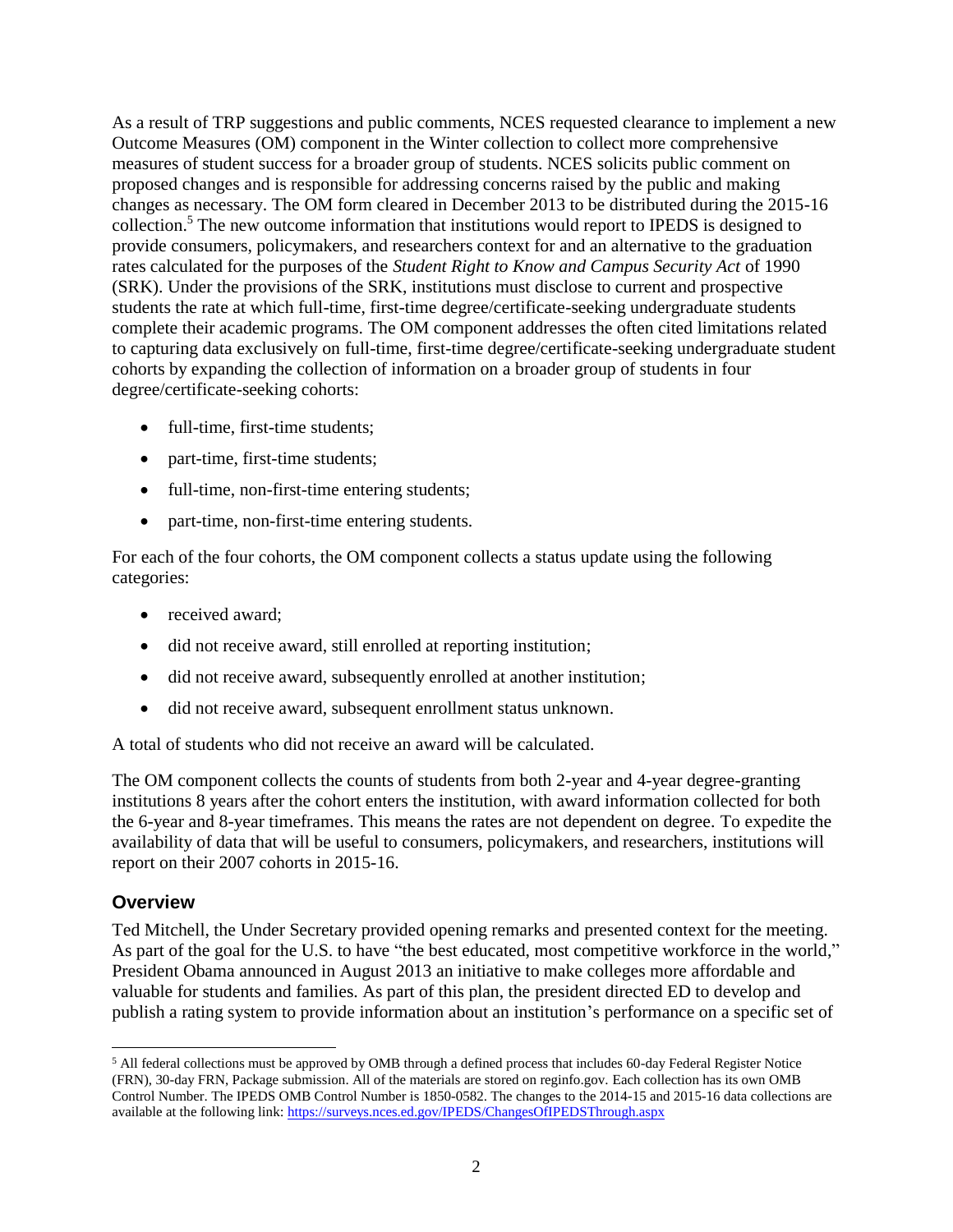As a result of TRP suggestions and public comments, NCES requested clearance to implement a new Outcome Measures (OM) component in the Winter collection to collect more comprehensive measures of student success for a broader group of students. NCES solicits public comment on proposed changes and is responsible for addressing concerns raised by the public and making changes as necessary. The OM form cleared in December 2013 to be distributed during the 2015-16 collection. <sup>5</sup> The new outcome information that institutions would report to IPEDS is designed to provide consumers, policymakers, and researchers context for and an alternative to the graduation rates calculated for the purposes of the *Student Right to Know and Campus Security Act* of 1990 (SRK). Under the provisions of the SRK, institutions must disclose to current and prospective students the rate at which full-time, first-time degree/certificate-seeking undergraduate students complete their academic programs. The OM component addresses the often cited limitations related to capturing data exclusively on full-time, first-time degree/certificate-seeking undergraduate student cohorts by expanding the collection of information on a broader group of students in four degree/certificate-seeking cohorts:

- full-time, first-time students;
- part-time, first-time students;
- full-time, non-first-time entering students;
- part-time, non-first-time entering students.

For each of the four cohorts, the OM component collects a status update using the following categories:

- received award;
- did not receive award, still enrolled at reporting institution;
- did not receive award, subsequently enrolled at another institution;
- did not receive award, subsequent enrollment status unknown.

A total of students who did not receive an award will be calculated.

The OM component collects the counts of students from both 2-year and 4-year degree-granting institutions 8 years after the cohort enters the institution, with award information collected for both the 6-year and 8-year timeframes. This means the rates are not dependent on degree. To expedite the availability of data that will be useful to consumers, policymakers, and researchers, institutions will report on their 2007 cohorts in 2015-16.

### **Overview**

l

Ted Mitchell, the Under Secretary provided opening remarks and presented context for the meeting. As part of the goal for the U.S. to have "the best educated, most competitive workforce in the world," President Obama announced in August 2013 an initiative to make colleges more affordable and valuable for students and families. As part of this plan, the president directed ED to develop and publish a rating system to provide information about an institution's performance on a specific set of

<sup>5</sup> All federal collections must be approved by OMB through a defined process that includes 60-day Federal Register Notice (FRN), 30-day FRN, Package submission. All of the materials are stored on reginfo.gov. Each collection has its own OMB Control Number. The IPEDS OMB Control Number is 1850-0582. The changes to the 2014-15 and 2015-16 data collections are available at the following link[: https://surveys.nces.ed.gov/IPEDS/ChangesOfIPEDSThrough.aspx](https://surveys.nces.ed.gov/IPEDS/ChangesOfIPEDSThrough.aspx)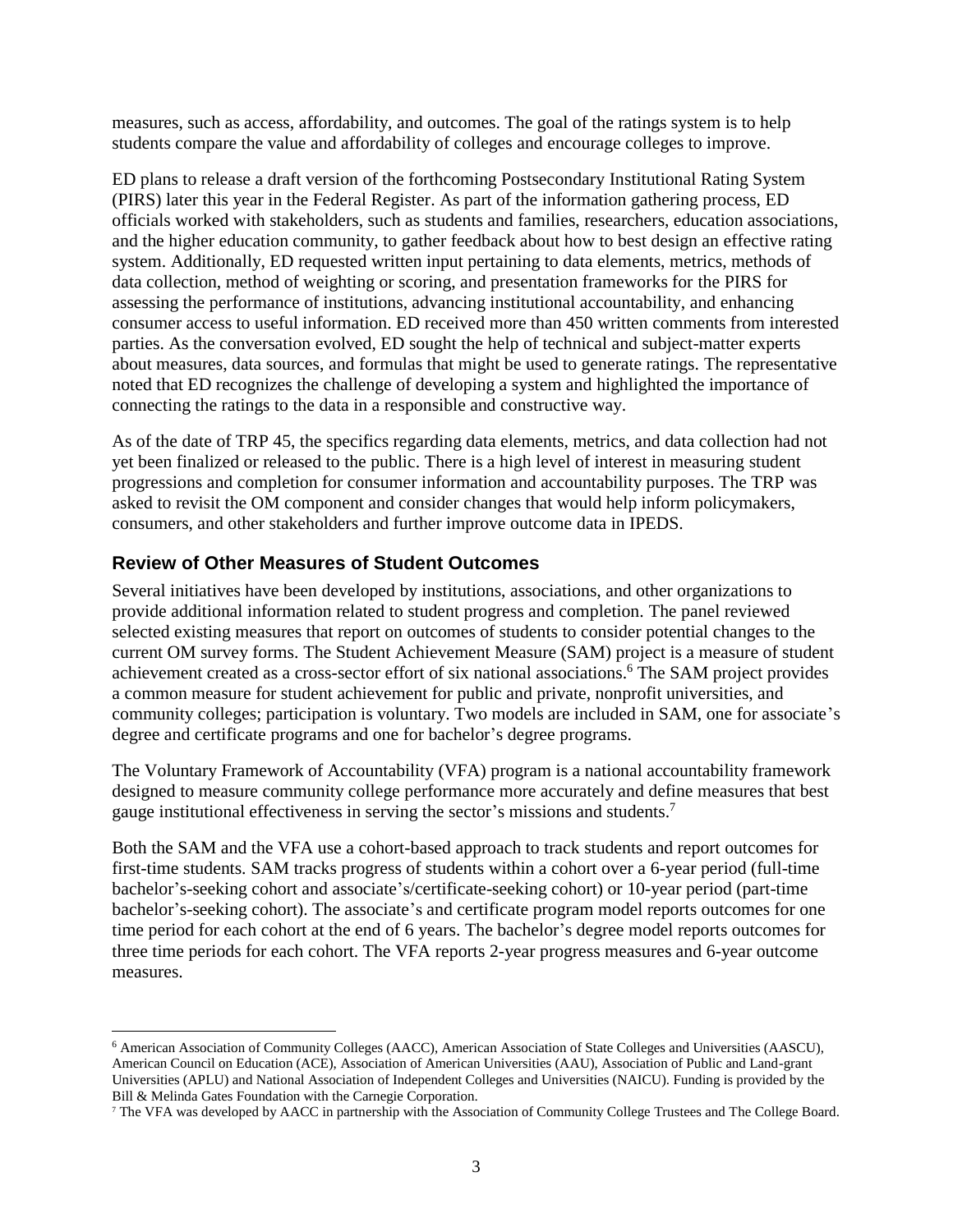measures, such as access, affordability, and outcomes. The goal of the ratings system is to help students compare the value and affordability of colleges and encourage colleges to improve.

ED plans to release a draft version of the forthcoming Postsecondary Institutional Rating System (PIRS) later this year in the Federal Register. As part of the information gathering process, ED officials worked with stakeholders, such as students and families, researchers, education associations, and the higher education community, to gather feedback about how to best design an effective rating system. Additionally, ED requested written input pertaining to data elements, metrics, methods of data collection, method of weighting or scoring, and presentation frameworks for the PIRS for assessing the performance of institutions, advancing institutional accountability, and enhancing consumer access to useful information. ED received more than 450 written comments from interested parties. As the conversation evolved, ED sought the help of technical and subject-matter experts about measures, data sources, and formulas that might be used to generate ratings. The representative noted that ED recognizes the challenge of developing a system and highlighted the importance of connecting the ratings to the data in a responsible and constructive way.

As of the date of TRP 45, the specifics regarding data elements, metrics, and data collection had not yet been finalized or released to the public. There is a high level of interest in measuring student progressions and completion for consumer information and accountability purposes. The TRP was asked to revisit the OM component and consider changes that would help inform policymakers, consumers, and other stakeholders and further improve outcome data in IPEDS.

### **Review of Other Measures of Student Outcomes**

l

Several initiatives have been developed by institutions, associations, and other organizations to provide additional information related to student progress and completion. The panel reviewed selected existing measures that report on outcomes of students to consider potential changes to the current OM survey forms. The Student Achievement Measure (SAM) project is a measure of student achievement created as a cross-sector effort of six national associations. <sup>6</sup> The SAM project provides a common measure for student achievement for public and private, nonprofit universities, and community colleges; participation is voluntary. Two models are included in SAM, one for associate's degree and certificate programs and one for bachelor's degree programs.

The Voluntary Framework of Accountability (VFA) program is a national accountability framework designed to measure community college performance more accurately and define measures that best gauge institutional effectiveness in serving the sector's missions and students. 7

Both the SAM and the VFA use a cohort-based approach to track students and report outcomes for first-time students. SAM tracks progress of students within a cohort over a 6-year period (full-time bachelor's-seeking cohort and associate's/certificate-seeking cohort) or 10-year period (part-time bachelor's-seeking cohort). The associate's and certificate program model reports outcomes for one time period for each cohort at the end of 6 years. The bachelor's degree model reports outcomes for three time periods for each cohort. The VFA reports 2-year progress measures and 6-year outcome measures.

<sup>6</sup> American Association of Community Colleges (AACC), American Association of State Colleges and Universities (AASCU), American Council on Education (ACE), Association of American Universities (AAU), Association of Public and Land-grant Universities (APLU) and National Association of Independent Colleges and Universities (NAICU). Funding is provided by the Bill & Melinda Gates Foundation with the Carnegie Corporation.

<sup>7</sup> The VFA was developed by AACC in partnership with the Association of Community College Trustees and The College Board.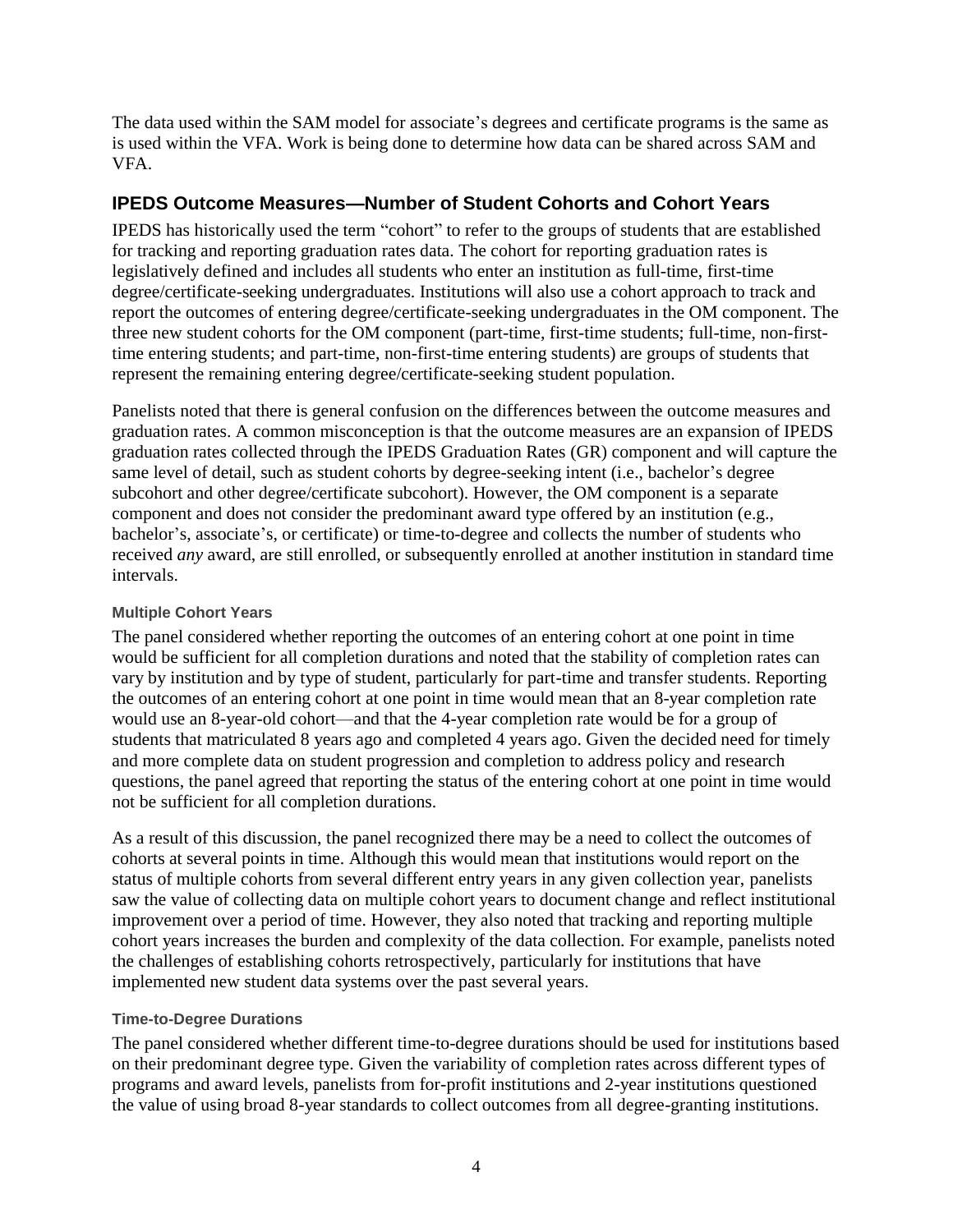The data used within the SAM model for associate's degrees and certificate programs is the same as is used within the VFA. Work is being done to determine how data can be shared across SAM and VFA.

### **IPEDS Outcome Measures—Number of Student Cohorts and Cohort Years**

IPEDS has historically used the term "cohort" to refer to the groups of students that are established for tracking and reporting graduation rates data. The cohort for reporting graduation rates is legislatively defined and includes all students who enter an institution as full-time, first-time degree/certificate-seeking undergraduates. Institutions will also use a cohort approach to track and report the outcomes of entering degree/certificate-seeking undergraduates in the OM component. The three new student cohorts for the OM component (part-time, first-time students; full-time, non-firsttime entering students; and part-time, non-first-time entering students) are groups of students that represent the remaining entering degree/certificate-seeking student population.

Panelists noted that there is general confusion on the differences between the outcome measures and graduation rates. A common misconception is that the outcome measures are an expansion of IPEDS graduation rates collected through the IPEDS Graduation Rates (GR) component and will capture the same level of detail, such as student cohorts by degree-seeking intent (i.e., bachelor's degree subcohort and other degree/certificate subcohort). However, the OM component is a separate component and does not consider the predominant award type offered by an institution (e.g., bachelor's, associate's, or certificate) or time-to-degree and collects the number of students who received *any* award, are still enrolled, or subsequently enrolled at another institution in standard time intervals.

#### **Multiple Cohort Years**

The panel considered whether reporting the outcomes of an entering cohort at one point in time would be sufficient for all completion durations and noted that the stability of completion rates can vary by institution and by type of student, particularly for part-time and transfer students. Reporting the outcomes of an entering cohort at one point in time would mean that an 8-year completion rate would use an 8-year-old cohort—and that the 4-year completion rate would be for a group of students that matriculated 8 years ago and completed 4 years ago. Given the decided need for timely and more complete data on student progression and completion to address policy and research questions, the panel agreed that reporting the status of the entering cohort at one point in time would not be sufficient for all completion durations.

As a result of this discussion, the panel recognized there may be a need to collect the outcomes of cohorts at several points in time. Although this would mean that institutions would report on the status of multiple cohorts from several different entry years in any given collection year, panelists saw the value of collecting data on multiple cohort years to document change and reflect institutional improvement over a period of time. However, they also noted that tracking and reporting multiple cohort years increases the burden and complexity of the data collection. For example, panelists noted the challenges of establishing cohorts retrospectively, particularly for institutions that have implemented new student data systems over the past several years.

#### **Time-to-Degree Durations**

The panel considered whether different time-to-degree durations should be used for institutions based on their predominant degree type. Given the variability of completion rates across different types of programs and award levels, panelists from for-profit institutions and 2-year institutions questioned the value of using broad 8-year standards to collect outcomes from all degree-granting institutions.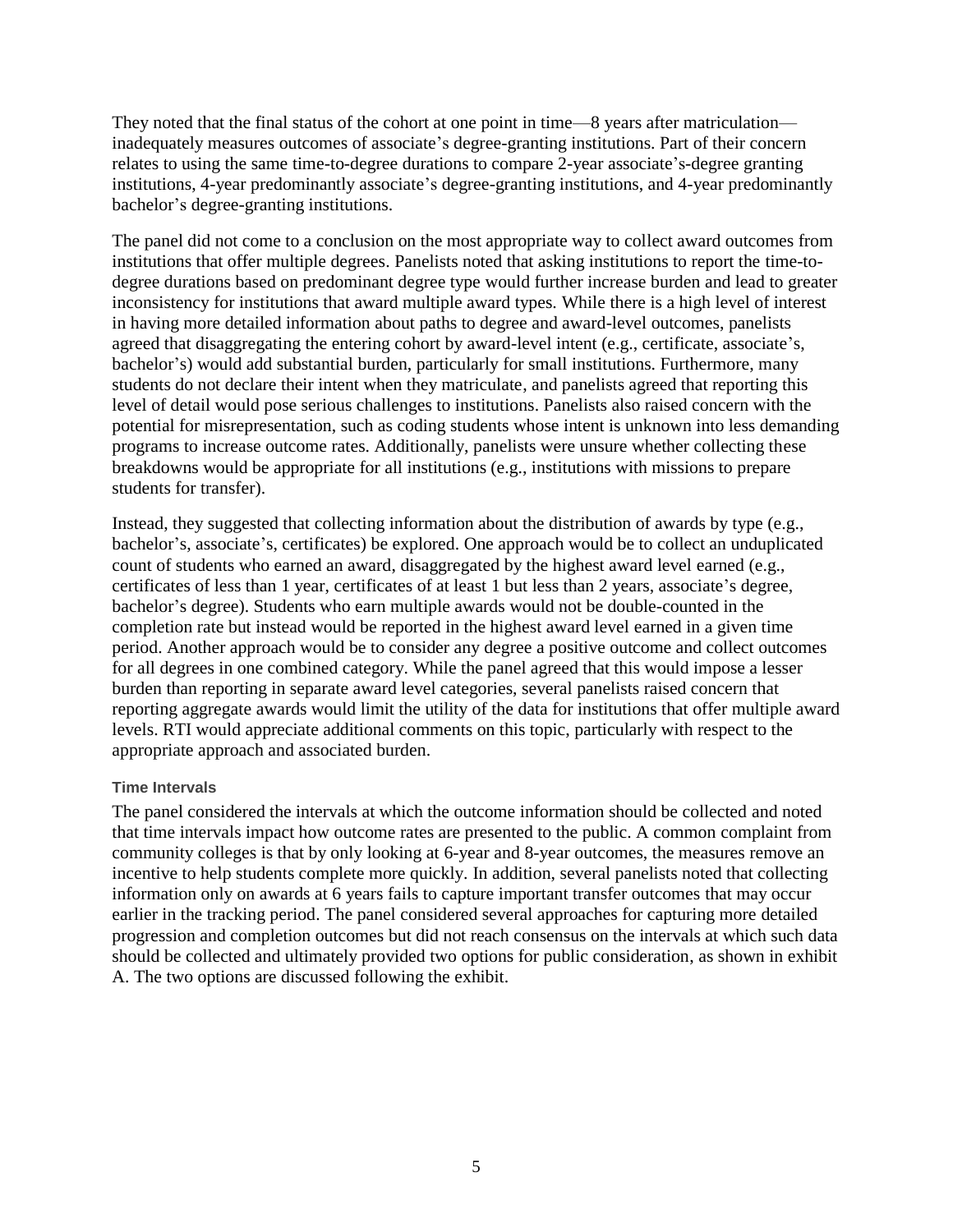They noted that the final status of the cohort at one point in time—8 years after matriculation inadequately measures outcomes of associate's degree-granting institutions. Part of their concern relates to using the same time-to-degree durations to compare 2-year associate's-degree granting institutions, 4-year predominantly associate's degree-granting institutions, and 4-year predominantly bachelor's degree-granting institutions.

The panel did not come to a conclusion on the most appropriate way to collect award outcomes from institutions that offer multiple degrees. Panelists noted that asking institutions to report the time-todegree durations based on predominant degree type would further increase burden and lead to greater inconsistency for institutions that award multiple award types. While there is a high level of interest in having more detailed information about paths to degree and award-level outcomes, panelists agreed that disaggregating the entering cohort by award-level intent (e.g., certificate, associate's, bachelor's) would add substantial burden, particularly for small institutions. Furthermore, many students do not declare their intent when they matriculate, and panelists agreed that reporting this level of detail would pose serious challenges to institutions. Panelists also raised concern with the potential for misrepresentation, such as coding students whose intent is unknown into less demanding programs to increase outcome rates. Additionally, panelists were unsure whether collecting these breakdowns would be appropriate for all institutions (e.g., institutions with missions to prepare students for transfer).

Instead, they suggested that collecting information about the distribution of awards by type (e.g., bachelor's, associate's, certificates) be explored. One approach would be to collect an unduplicated count of students who earned an award, disaggregated by the highest award level earned (e.g., certificates of less than 1 year, certificates of at least 1 but less than 2 years, associate's degree, bachelor's degree). Students who earn multiple awards would not be double-counted in the completion rate but instead would be reported in the highest award level earned in a given time period. Another approach would be to consider any degree a positive outcome and collect outcomes for all degrees in one combined category. While the panel agreed that this would impose a lesser burden than reporting in separate award level categories, several panelists raised concern that reporting aggregate awards would limit the utility of the data for institutions that offer multiple award levels. RTI would appreciate additional comments on this topic, particularly with respect to the appropriate approach and associated burden.

#### **Time Intervals**

The panel considered the intervals at which the outcome information should be collected and noted that time intervals impact how outcome rates are presented to the public. A common complaint from community colleges is that by only looking at 6-year and 8-year outcomes, the measures remove an incentive to help students complete more quickly. In addition, several panelists noted that collecting information only on awards at 6 years fails to capture important transfer outcomes that may occur earlier in the tracking period. The panel considered several approaches for capturing more detailed progression and completion outcomes but did not reach consensus on the intervals at which such data should be collected and ultimately provided two options for public consideration, as shown in exhibit A. The two options are discussed following the exhibit.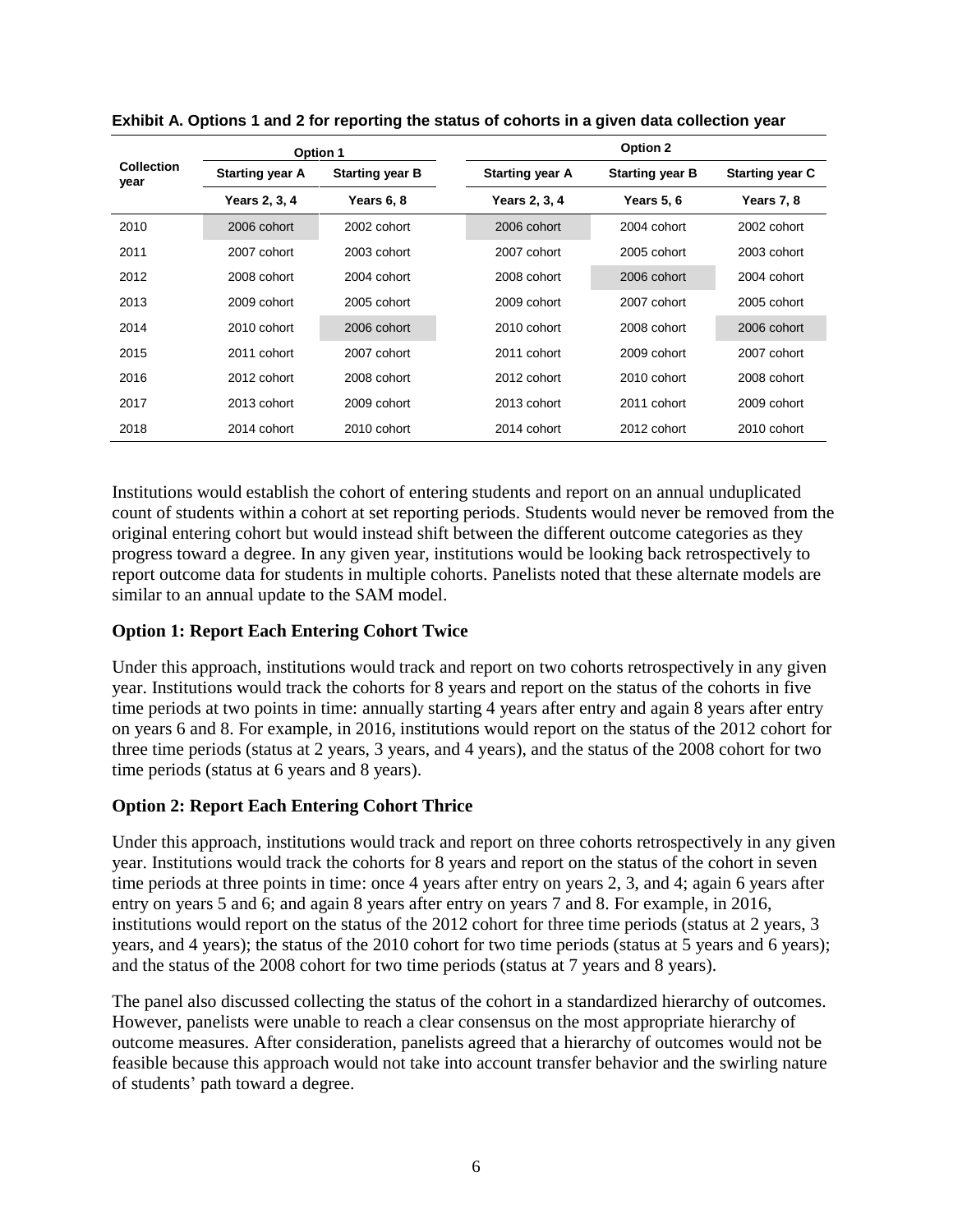| <b>Collection</b><br>year |                        | Option 1               | Option 2               |                        |                        |  |  |  |  |  |  |
|---------------------------|------------------------|------------------------|------------------------|------------------------|------------------------|--|--|--|--|--|--|
|                           | <b>Starting year A</b> | <b>Starting year B</b> | <b>Starting year A</b> | <b>Starting year B</b> | <b>Starting year C</b> |  |  |  |  |  |  |
|                           | Years 2, 3, 4          | Years 6, 8             | Years 2, 3, 4          | Years 5, 6             | Years 7, 8             |  |  |  |  |  |  |
| 2010                      | 2006 cohort            | 2002 cohort            | 2006 cohort            | 2004 cohort            | 2002 cohort            |  |  |  |  |  |  |
| 2011                      | 2007 cohort            | 2003 cohort            | 2007 cohort            | 2005 cohort            | 2003 cohort            |  |  |  |  |  |  |
| 2012                      | 2008 cohort            | 2004 cohort            | 2008 cohort            | 2006 cohort            | 2004 cohort            |  |  |  |  |  |  |
| 2013                      | 2009 cohort            | 2005 cohort            | 2009 cohort            | 2007 cohort            | 2005 cohort            |  |  |  |  |  |  |
| 2014                      | 2010 cohort            | 2006 cohort            | 2010 cohort            | 2008 cohort            | 2006 cohort            |  |  |  |  |  |  |
| 2015                      | 2011 cohort            | 2007 cohort            | 2011 cohort            | 2009 cohort            | 2007 cohort            |  |  |  |  |  |  |
| 2016                      | 2012 cohort            | 2008 cohort            | 2012 cohort            | 2010 cohort            | 2008 cohort            |  |  |  |  |  |  |
| 2017                      | 2013 cohort            | 2009 cohort            | 2013 cohort            | 2011 cohort            | 2009 cohort            |  |  |  |  |  |  |
| 2018                      | 2014 cohort            | 2010 cohort            | 2014 cohort            | 2012 cohort            | 2010 cohort            |  |  |  |  |  |  |

**Exhibit A. Options 1 and 2 for reporting the status of cohorts in a given data collection year**

Institutions would establish the cohort of entering students and report on an annual unduplicated count of students within a cohort at set reporting periods. Students would never be removed from the original entering cohort but would instead shift between the different outcome categories as they progress toward a degree. In any given year, institutions would be looking back retrospectively to report outcome data for students in multiple cohorts. Panelists noted that these alternate models are similar to an annual update to the SAM model.

#### **Option 1: Report Each Entering Cohort Twice**

Under this approach, institutions would track and report on two cohorts retrospectively in any given year. Institutions would track the cohorts for 8 years and report on the status of the cohorts in five time periods at two points in time: annually starting 4 years after entry and again 8 years after entry on years 6 and 8. For example, in 2016, institutions would report on the status of the 2012 cohort for three time periods (status at 2 years, 3 years, and 4 years), and the status of the 2008 cohort for two time periods (status at 6 years and 8 years).

#### **Option 2: Report Each Entering Cohort Thrice**

Under this approach, institutions would track and report on three cohorts retrospectively in any given year. Institutions would track the cohorts for 8 years and report on the status of the cohort in seven time periods at three points in time: once 4 years after entry on years 2, 3, and 4; again 6 years after entry on years 5 and 6; and again 8 years after entry on years 7 and 8. For example, in 2016, institutions would report on the status of the 2012 cohort for three time periods (status at 2 years, 3 years, and 4 years); the status of the 2010 cohort for two time periods (status at 5 years and 6 years); and the status of the 2008 cohort for two time periods (status at 7 years and 8 years).

The panel also discussed collecting the status of the cohort in a standardized hierarchy of outcomes. However, panelists were unable to reach a clear consensus on the most appropriate hierarchy of outcome measures. After consideration, panelists agreed that a hierarchy of outcomes would not be feasible because this approach would not take into account transfer behavior and the swirling nature of students' path toward a degree.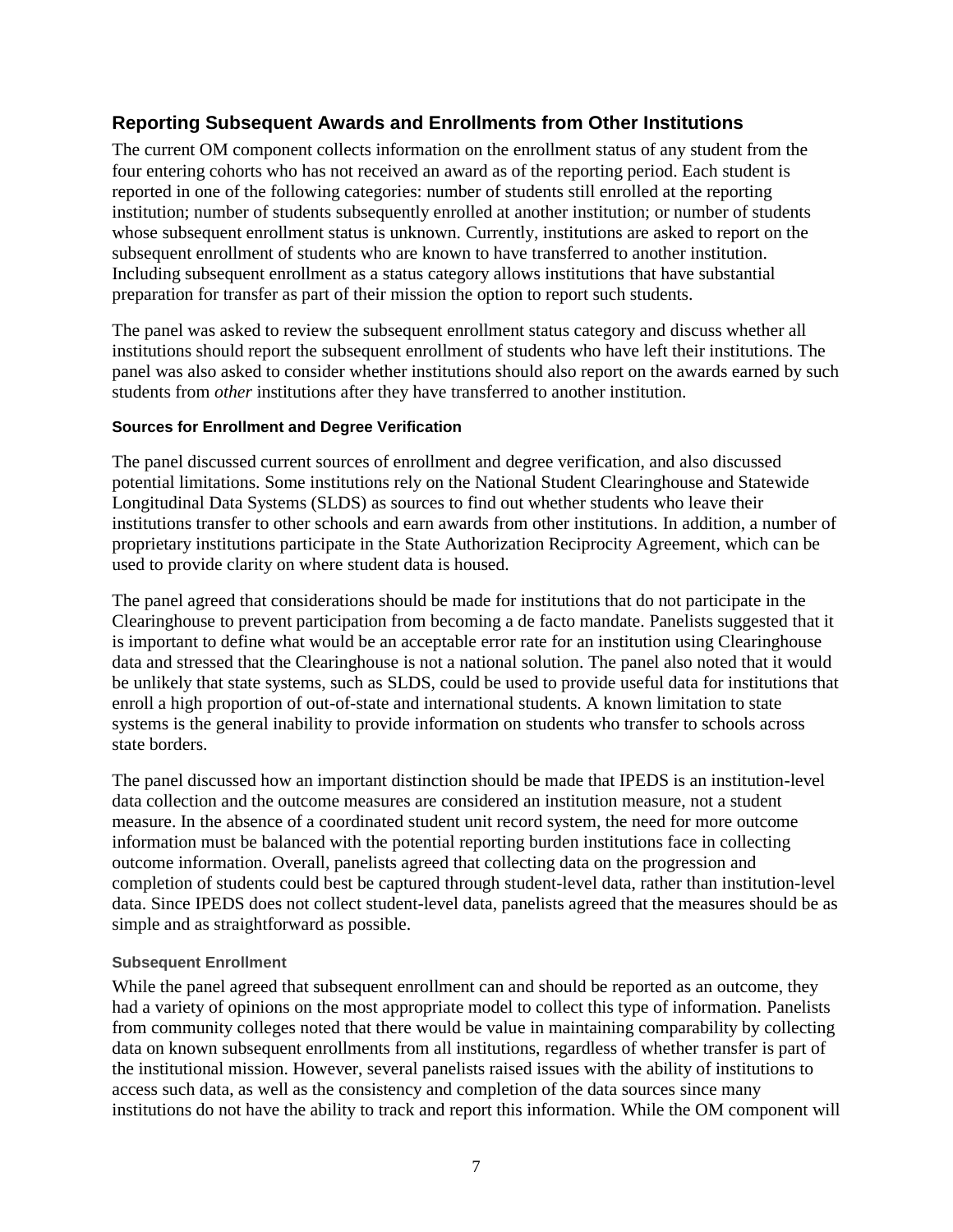### **Reporting Subsequent Awards and Enrollments from Other Institutions**

The current OM component collects information on the enrollment status of any student from the four entering cohorts who has not received an award as of the reporting period. Each student is reported in one of the following categories: number of students still enrolled at the reporting institution; number of students subsequently enrolled at another institution; or number of students whose subsequent enrollment status is unknown. Currently, institutions are asked to report on the subsequent enrollment of students who are known to have transferred to another institution. Including subsequent enrollment as a status category allows institutions that have substantial preparation for transfer as part of their mission the option to report such students.

The panel was asked to review the subsequent enrollment status category and discuss whether all institutions should report the subsequent enrollment of students who have left their institutions. The panel was also asked to consider whether institutions should also report on the awards earned by such students from *other* institutions after they have transferred to another institution.

#### **Sources for Enrollment and Degree Verification**

The panel discussed current sources of enrollment and degree verification, and also discussed potential limitations. Some institutions rely on the National Student Clearinghouse and Statewide Longitudinal Data Systems (SLDS) as sources to find out whether students who leave their institutions transfer to other schools and earn awards from other institutions. In addition, a number of proprietary institutions participate in the State Authorization Reciprocity Agreement, which can be used to provide clarity on where student data is housed.

The panel agreed that considerations should be made for institutions that do not participate in the Clearinghouse to prevent participation from becoming a de facto mandate. Panelists suggested that it is important to define what would be an acceptable error rate for an institution using Clearinghouse data and stressed that the Clearinghouse is not a national solution. The panel also noted that it would be unlikely that state systems, such as SLDS, could be used to provide useful data for institutions that enroll a high proportion of out-of-state and international students. A known limitation to state systems is the general inability to provide information on students who transfer to schools across state borders.

The panel discussed how an important distinction should be made that IPEDS is an institution-level data collection and the outcome measures are considered an institution measure, not a student measure. In the absence of a coordinated student unit record system, the need for more outcome information must be balanced with the potential reporting burden institutions face in collecting outcome information. Overall, panelists agreed that collecting data on the progression and completion of students could best be captured through student-level data, rather than institution-level data. Since IPEDS does not collect student-level data, panelists agreed that the measures should be as simple and as straightforward as possible.

#### **Subsequent Enrollment**

While the panel agreed that subsequent enrollment can and should be reported as an outcome, they had a variety of opinions on the most appropriate model to collect this type of information. Panelists from community colleges noted that there would be value in maintaining comparability by collecting data on known subsequent enrollments from all institutions, regardless of whether transfer is part of the institutional mission. However, several panelists raised issues with the ability of institutions to access such data, as well as the consistency and completion of the data sources since many institutions do not have the ability to track and report this information. While the OM component will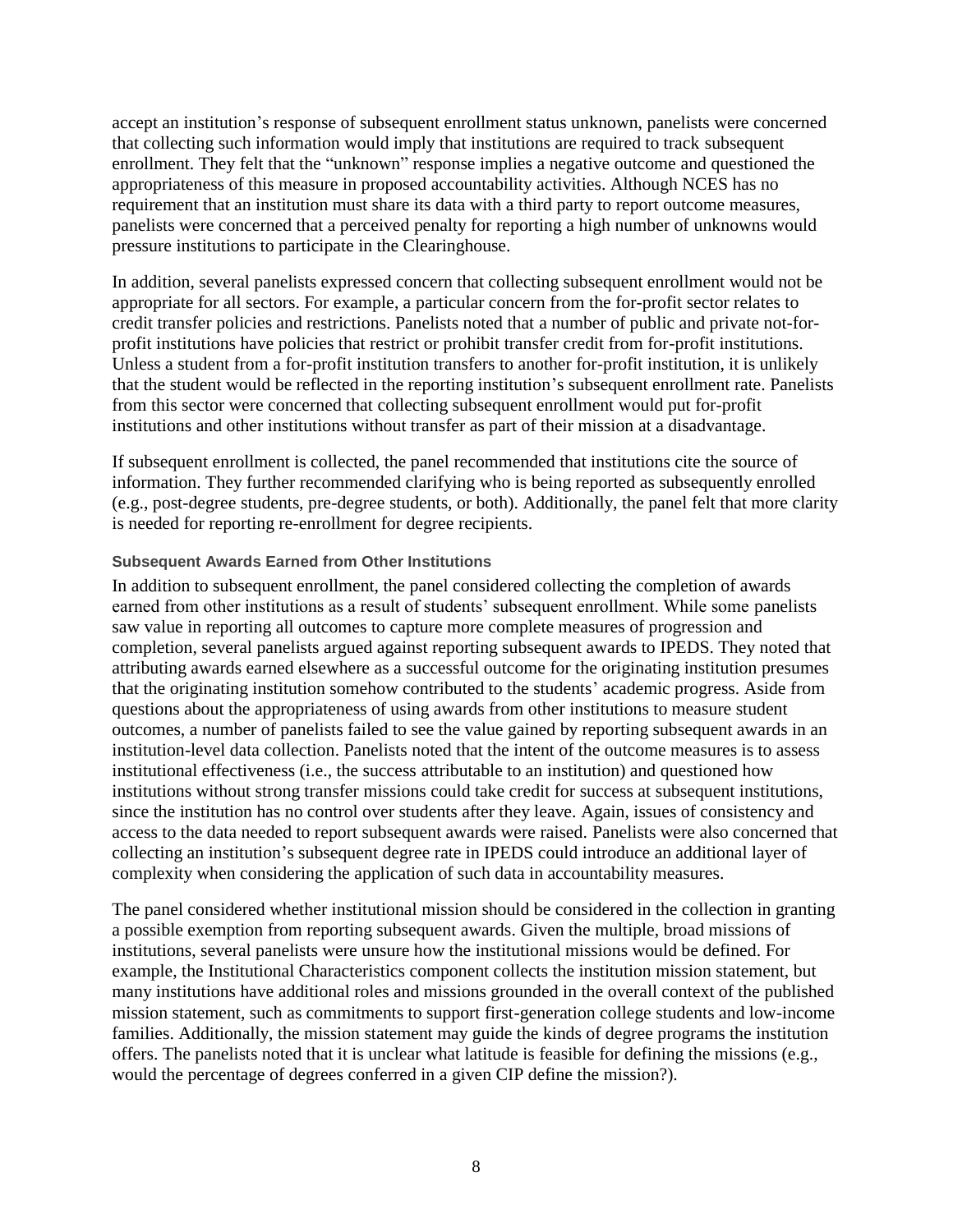accept an institution's response of subsequent enrollment status unknown, panelists were concerned that collecting such information would imply that institutions are required to track subsequent enrollment. They felt that the "unknown" response implies a negative outcome and questioned the appropriateness of this measure in proposed accountability activities. Although NCES has no requirement that an institution must share its data with a third party to report outcome measures, panelists were concerned that a perceived penalty for reporting a high number of unknowns would pressure institutions to participate in the Clearinghouse.

In addition, several panelists expressed concern that collecting subsequent enrollment would not be appropriate for all sectors. For example, a particular concern from the for-profit sector relates to credit transfer policies and restrictions. Panelists noted that a number of public and private not-forprofit institutions have policies that restrict or prohibit transfer credit from for-profit institutions. Unless a student from a for-profit institution transfers to another for-profit institution, it is unlikely that the student would be reflected in the reporting institution's subsequent enrollment rate. Panelists from this sector were concerned that collecting subsequent enrollment would put for-profit institutions and other institutions without transfer as part of their mission at a disadvantage.

If subsequent enrollment is collected, the panel recommended that institutions cite the source of information. They further recommended clarifying who is being reported as subsequently enrolled (e.g., post-degree students, pre-degree students, or both). Additionally, the panel felt that more clarity is needed for reporting re-enrollment for degree recipients.

#### **Subsequent Awards Earned from Other Institutions**

In addition to subsequent enrollment, the panel considered collecting the completion of awards earned from other institutions as a result of students' subsequent enrollment. While some panelists saw value in reporting all outcomes to capture more complete measures of progression and completion, several panelists argued against reporting subsequent awards to IPEDS. They noted that attributing awards earned elsewhere as a successful outcome for the originating institution presumes that the originating institution somehow contributed to the students' academic progress. Aside from questions about the appropriateness of using awards from other institutions to measure student outcomes, a number of panelists failed to see the value gained by reporting subsequent awards in an institution-level data collection. Panelists noted that the intent of the outcome measures is to assess institutional effectiveness (i.e., the success attributable to an institution) and questioned how institutions without strong transfer missions could take credit for success at subsequent institutions, since the institution has no control over students after they leave. Again, issues of consistency and access to the data needed to report subsequent awards were raised. Panelists were also concerned that collecting an institution's subsequent degree rate in IPEDS could introduce an additional layer of complexity when considering the application of such data in accountability measures.

The panel considered whether institutional mission should be considered in the collection in granting a possible exemption from reporting subsequent awards. Given the multiple, broad missions of institutions, several panelists were unsure how the institutional missions would be defined. For example, the Institutional Characteristics component collects the institution mission statement, but many institutions have additional roles and missions grounded in the overall context of the published mission statement, such as commitments to support first-generation college students and low-income families. Additionally, the mission statement may guide the kinds of degree programs the institution offers. The panelists noted that it is unclear what latitude is feasible for defining the missions (e.g., would the percentage of degrees conferred in a given CIP define the mission?).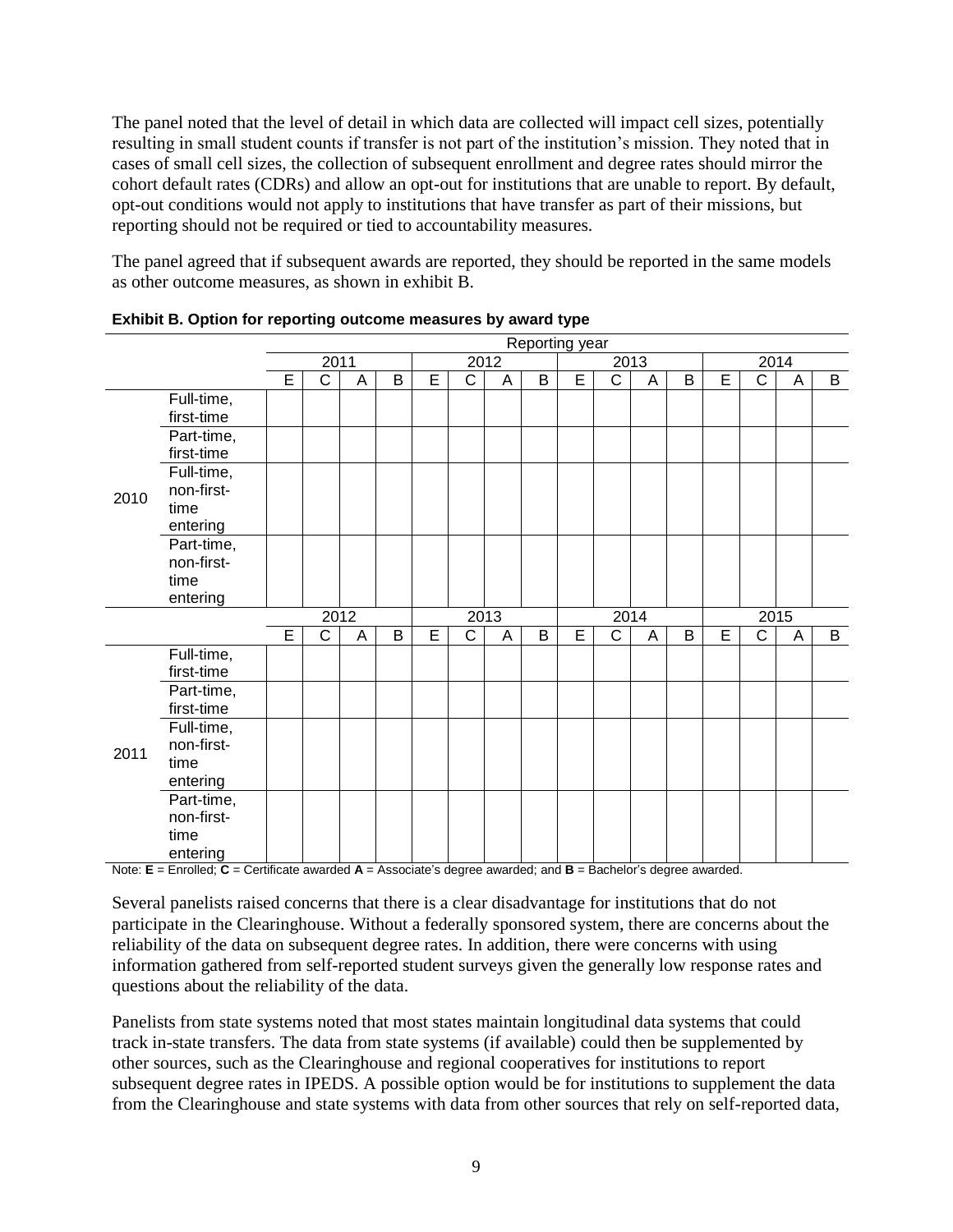The panel noted that the level of detail in which data are collected will impact cell sizes, potentially resulting in small student counts if transfer is not part of the institution's mission. They noted that in cases of small cell sizes, the collection of subsequent enrollment and degree rates should mirror the cohort default rates (CDRs) and allow an opt-out for institutions that are unable to report. By default, opt-out conditions would not apply to institutions that have transfer as part of their missions, but reporting should not be required or tied to accountability measures.

The panel agreed that if subsequent awards are reported, they should be reported in the same models as other outcome measures, as shown in exhibit B.

|      |                                              | Reporting year |                       |   |      |   |                       |      |   |   |                       |   |   |   |                |   |   |
|------|----------------------------------------------|----------------|-----------------------|---|------|---|-----------------------|------|---|---|-----------------------|---|---|---|----------------|---|---|
|      |                                              | 2011           |                       |   | 2012 |   |                       | 2013 |   |   | 2014                  |   |   |   |                |   |   |
|      |                                              | E              | $\overline{\text{C}}$ | A | B    | E | $\overline{\text{C}}$ | A    | B | Ē | $\overline{\text{c}}$ | A | B | Ē | $\overline{C}$ | A | B |
| 2010 | Full-time,<br>first-time                     |                |                       |   |      |   |                       |      |   |   |                       |   |   |   |                |   |   |
|      | Part-time,<br>first-time                     |                |                       |   |      |   |                       |      |   |   |                       |   |   |   |                |   |   |
|      | Full-time,<br>non-first-<br>time<br>entering |                |                       |   |      |   |                       |      |   |   |                       |   |   |   |                |   |   |
|      | Part-time,<br>non-first-<br>time<br>entering |                |                       |   |      |   |                       |      |   |   |                       |   |   |   |                |   |   |
|      |                                              | 2012           |                       |   | 2013 |   |                       | 2014 |   |   | 2015                  |   |   |   |                |   |   |
|      |                                              | E              | C                     | A | B    | E | C                     | A    | B | E | $\mathsf{C}$          | A | B | E | $\mathsf{C}$   | A | B |
| 2011 | Full-time,<br>first-time                     |                |                       |   |      |   |                       |      |   |   |                       |   |   |   |                |   |   |
|      | Part-time,<br>first-time                     |                |                       |   |      |   |                       |      |   |   |                       |   |   |   |                |   |   |
|      | Full-time,<br>non-first-                     |                |                       |   |      |   |                       |      |   |   |                       |   |   |   |                |   |   |
|      | time<br>entering                             |                |                       |   |      |   |                       |      |   |   |                       |   |   |   |                |   |   |
|      | Part-time,<br>non-first-<br>time<br>entering |                |                       |   |      |   |                       |      |   |   |                       |   |   |   |                |   |   |

**Exhibit B. Option for reporting outcome measures by award type**

Note: **E** = Enrolled; **C** = Certificate awarded **A** = Associate's degree awarded; and **B** = Bachelor's degree awarded.

Several panelists raised concerns that there is a clear disadvantage for institutions that do not participate in the Clearinghouse. Without a federally sponsored system, there are concerns about the reliability of the data on subsequent degree rates. In addition, there were concerns with using information gathered from self-reported student surveys given the generally low response rates and questions about the reliability of the data.

Panelists from state systems noted that most states maintain longitudinal data systems that could track in-state transfers. The data from state systems (if available) could then be supplemented by other sources, such as the Clearinghouse and regional cooperatives for institutions to report subsequent degree rates in IPEDS. A possible option would be for institutions to supplement the data from the Clearinghouse and state systems with data from other sources that rely on self-reported data,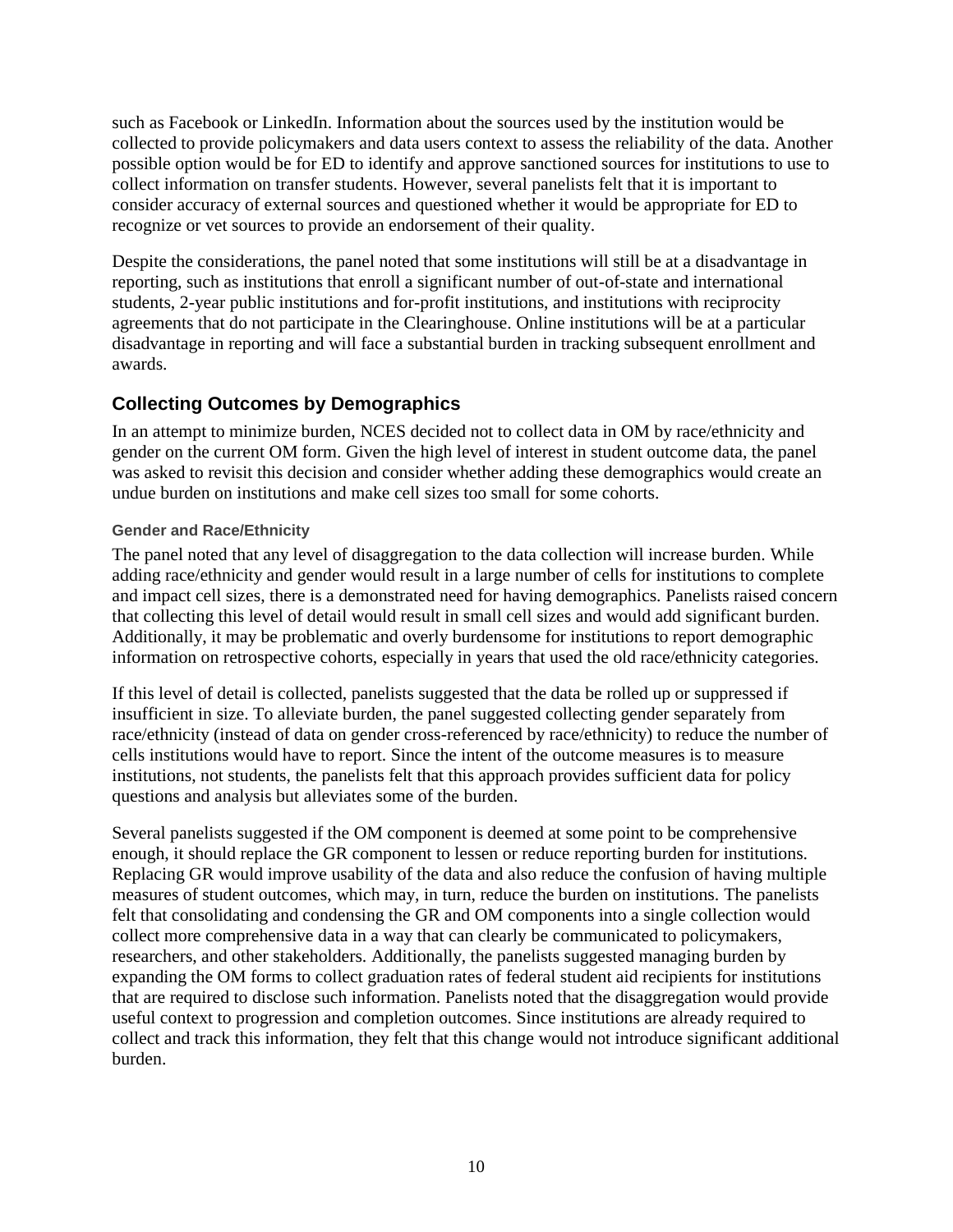such as Facebook or LinkedIn. Information about the sources used by the institution would be collected to provide policymakers and data users context to assess the reliability of the data. Another possible option would be for ED to identify and approve sanctioned sources for institutions to use to collect information on transfer students. However, several panelists felt that it is important to consider accuracy of external sources and questioned whether it would be appropriate for ED to recognize or vet sources to provide an endorsement of their quality.

Despite the considerations, the panel noted that some institutions will still be at a disadvantage in reporting, such as institutions that enroll a significant number of out-of-state and international students, 2-year public institutions and for-profit institutions, and institutions with reciprocity agreements that do not participate in the Clearinghouse. Online institutions will be at a particular disadvantage in reporting and will face a substantial burden in tracking subsequent enrollment and awards.

# **Collecting Outcomes by Demographics**

In an attempt to minimize burden, NCES decided not to collect data in OM by race/ethnicity and gender on the current OM form. Given the high level of interest in student outcome data, the panel was asked to revisit this decision and consider whether adding these demographics would create an undue burden on institutions and make cell sizes too small for some cohorts.

### **Gender and Race/Ethnicity**

The panel noted that any level of disaggregation to the data collection will increase burden. While adding race/ethnicity and gender would result in a large number of cells for institutions to complete and impact cell sizes, there is a demonstrated need for having demographics. Panelists raised concern that collecting this level of detail would result in small cell sizes and would add significant burden. Additionally, it may be problematic and overly burdensome for institutions to report demographic information on retrospective cohorts, especially in years that used the old race/ethnicity categories.

If this level of detail is collected, panelists suggested that the data be rolled up or suppressed if insufficient in size. To alleviate burden, the panel suggested collecting gender separately from race/ethnicity (instead of data on gender cross-referenced by race/ethnicity) to reduce the number of cells institutions would have to report. Since the intent of the outcome measures is to measure institutions, not students, the panelists felt that this approach provides sufficient data for policy questions and analysis but alleviates some of the burden.

Several panelists suggested if the OM component is deemed at some point to be comprehensive enough, it should replace the GR component to lessen or reduce reporting burden for institutions. Replacing GR would improve usability of the data and also reduce the confusion of having multiple measures of student outcomes, which may, in turn, reduce the burden on institutions. The panelists felt that consolidating and condensing the GR and OM components into a single collection would collect more comprehensive data in a way that can clearly be communicated to policymakers, researchers, and other stakeholders. Additionally, the panelists suggested managing burden by expanding the OM forms to collect graduation rates of federal student aid recipients for institutions that are required to disclose such information. Panelists noted that the disaggregation would provide useful context to progression and completion outcomes. Since institutions are already required to collect and track this information, they felt that this change would not introduce significant additional burden.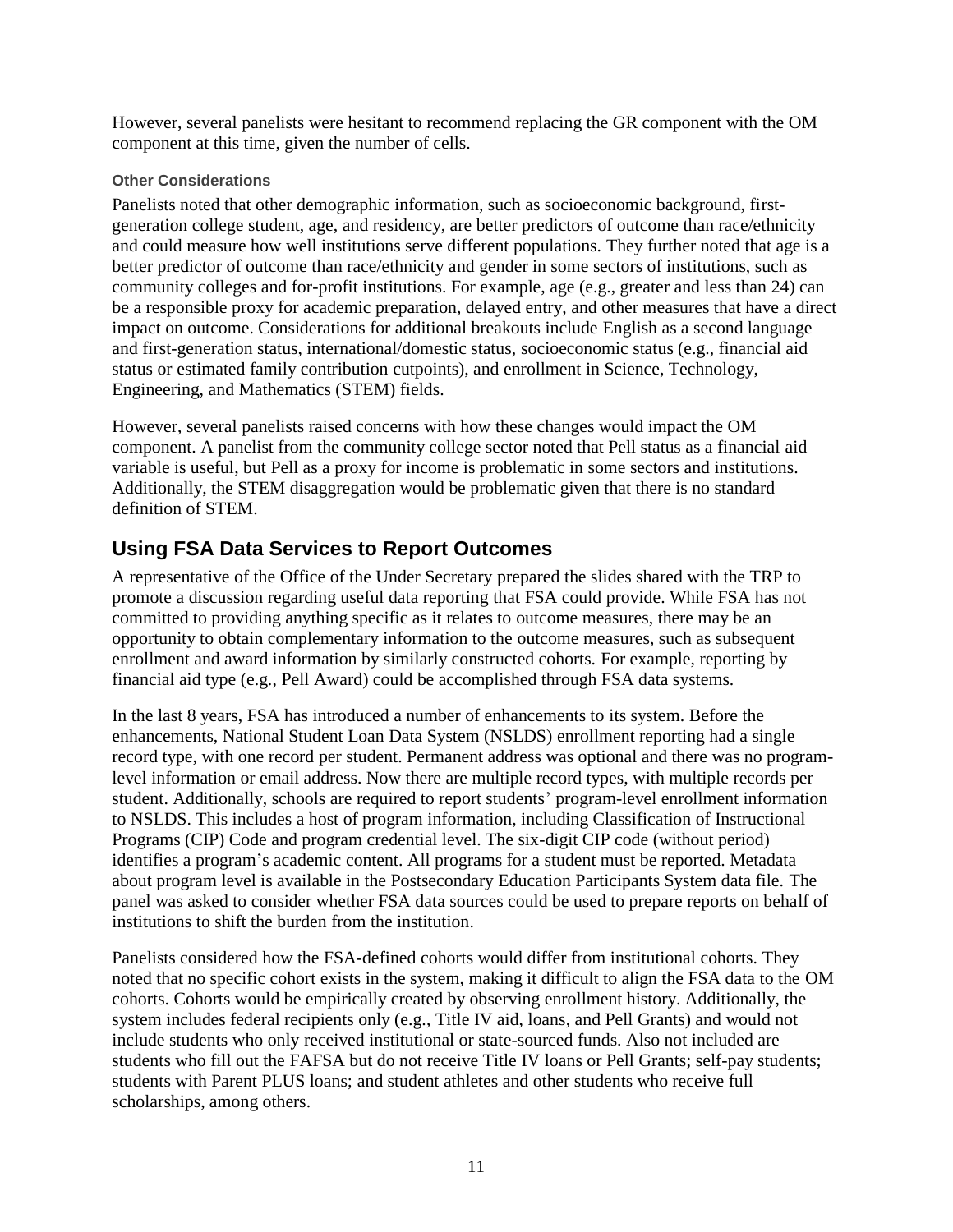However, several panelists were hesitant to recommend replacing the GR component with the OM component at this time, given the number of cells.

#### **Other Considerations**

Panelists noted that other demographic information, such as socioeconomic background, firstgeneration college student, age, and residency, are better predictors of outcome than race/ethnicity and could measure how well institutions serve different populations. They further noted that age is a better predictor of outcome than race/ethnicity and gender in some sectors of institutions, such as community colleges and for-profit institutions. For example, age (e.g., greater and less than 24) can be a responsible proxy for academic preparation, delayed entry, and other measures that have a direct impact on outcome. Considerations for additional breakouts include English as a second language and first-generation status, international/domestic status, socioeconomic status (e.g., financial aid status or estimated family contribution cutpoints), and enrollment in Science, Technology, Engineering, and Mathematics (STEM) fields.

However, several panelists raised concerns with how these changes would impact the OM component. A panelist from the community college sector noted that Pell status as a financial aid variable is useful, but Pell as a proxy for income is problematic in some sectors and institutions. Additionally, the STEM disaggregation would be problematic given that there is no standard definition of STEM.

# **Using FSA Data Services to Report Outcomes**

A representative of the Office of the Under Secretary prepared the slides shared with the TRP to promote a discussion regarding useful data reporting that FSA could provide. While FSA has not committed to providing anything specific as it relates to outcome measures, there may be an opportunity to obtain complementary information to the outcome measures, such as subsequent enrollment and award information by similarly constructed cohorts. For example, reporting by financial aid type (e.g., Pell Award) could be accomplished through FSA data systems.

In the last 8 years, FSA has introduced a number of enhancements to its system. Before the enhancements, National Student Loan Data System (NSLDS) enrollment reporting had a single record type, with one record per student. Permanent address was optional and there was no programlevel information or email address. Now there are multiple record types, with multiple records per student. Additionally, schools are required to report students' program-level enrollment information to NSLDS. This includes a host of program information, including Classification of Instructional Programs (CIP) Code and program credential level. The six-digit CIP code (without period) identifies a program's academic content. All programs for a student must be reported. Metadata about program level is available in the Postsecondary Education Participants System data file. The panel was asked to consider whether FSA data sources could be used to prepare reports on behalf of institutions to shift the burden from the institution.

Panelists considered how the FSA-defined cohorts would differ from institutional cohorts. They noted that no specific cohort exists in the system, making it difficult to align the FSA data to the OM cohorts. Cohorts would be empirically created by observing enrollment history. Additionally, the system includes federal recipients only (e.g., Title IV aid, loans, and Pell Grants) and would not include students who only received institutional or state-sourced funds. Also not included are students who fill out the FAFSA but do not receive Title IV loans or Pell Grants; self-pay students; students with Parent PLUS loans; and student athletes and other students who receive full scholarships, among others.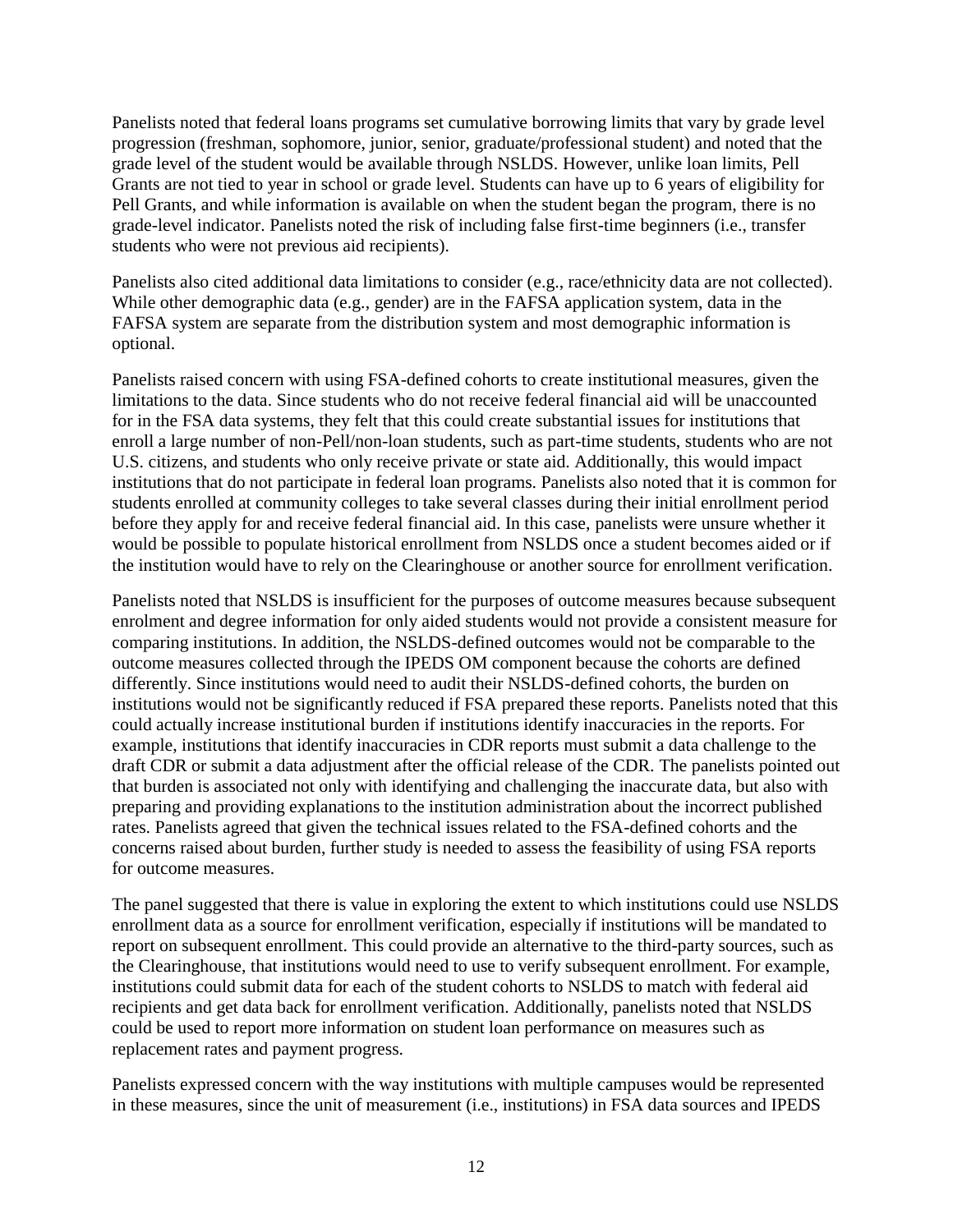Panelists noted that federal loans programs set cumulative borrowing limits that vary by grade level progression (freshman, sophomore, junior, senior, graduate/professional student) and noted that the grade level of the student would be available through NSLDS. However, unlike loan limits, Pell Grants are not tied to year in school or grade level. Students can have up to 6 years of eligibility for Pell Grants, and while information is available on when the student began the program, there is no grade-level indicator. Panelists noted the risk of including false first-time beginners (i.e., transfer students who were not previous aid recipients).

Panelists also cited additional data limitations to consider (e.g., race/ethnicity data are not collected). While other demographic data (e.g., gender) are in the FAFSA application system, data in the FAFSA system are separate from the distribution system and most demographic information is optional.

Panelists raised concern with using FSA-defined cohorts to create institutional measures, given the limitations to the data. Since students who do not receive federal financial aid will be unaccounted for in the FSA data systems, they felt that this could create substantial issues for institutions that enroll a large number of non-Pell/non-loan students, such as part-time students, students who are not U.S. citizens, and students who only receive private or state aid. Additionally, this would impact institutions that do not participate in federal loan programs. Panelists also noted that it is common for students enrolled at community colleges to take several classes during their initial enrollment period before they apply for and receive federal financial aid. In this case, panelists were unsure whether it would be possible to populate historical enrollment from NSLDS once a student becomes aided or if the institution would have to rely on the Clearinghouse or another source for enrollment verification.

Panelists noted that NSLDS is insufficient for the purposes of outcome measures because subsequent enrolment and degree information for only aided students would not provide a consistent measure for comparing institutions. In addition, the NSLDS-defined outcomes would not be comparable to the outcome measures collected through the IPEDS OM component because the cohorts are defined differently. Since institutions would need to audit their NSLDS-defined cohorts, the burden on institutions would not be significantly reduced if FSA prepared these reports. Panelists noted that this could actually increase institutional burden if institutions identify inaccuracies in the reports. For example, institutions that identify inaccuracies in CDR reports must submit a data challenge to the draft CDR or submit a data adjustment after the official release of the CDR. The panelists pointed out that burden is associated not only with identifying and challenging the inaccurate data, but also with preparing and providing explanations to the institution administration about the incorrect published rates. Panelists agreed that given the technical issues related to the FSA-defined cohorts and the concerns raised about burden, further study is needed to assess the feasibility of using FSA reports for outcome measures.

The panel suggested that there is value in exploring the extent to which institutions could use NSLDS enrollment data as a source for enrollment verification, especially if institutions will be mandated to report on subsequent enrollment. This could provide an alternative to the third-party sources, such as the Clearinghouse, that institutions would need to use to verify subsequent enrollment. For example, institutions could submit data for each of the student cohorts to NSLDS to match with federal aid recipients and get data back for enrollment verification. Additionally, panelists noted that NSLDS could be used to report more information on student loan performance on measures such as replacement rates and payment progress.

Panelists expressed concern with the way institutions with multiple campuses would be represented in these measures, since the unit of measurement (i.e., institutions) in FSA data sources and IPEDS